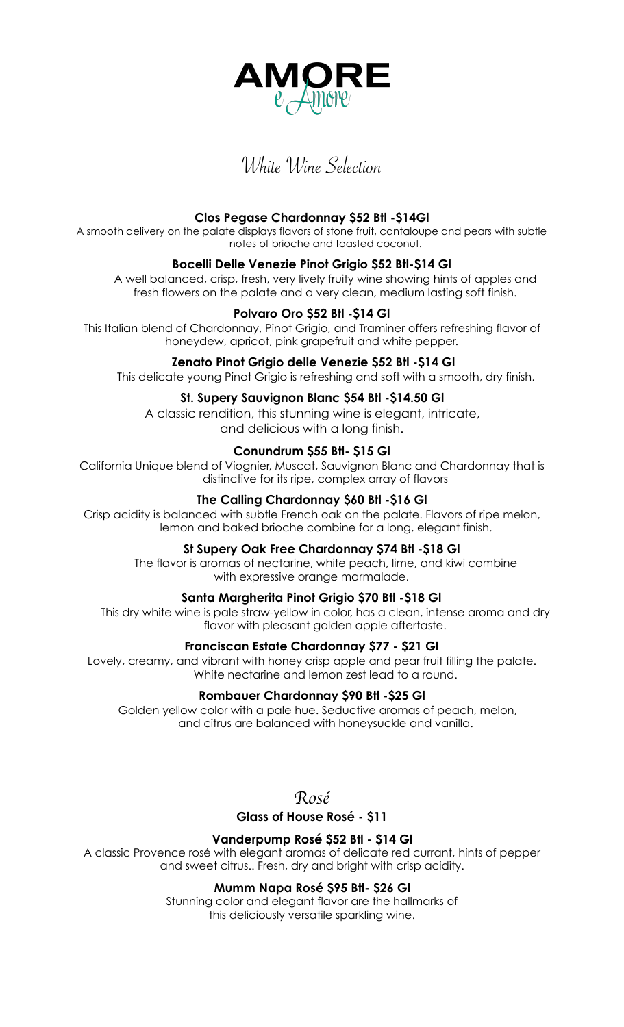

# White Wine Selection

# **Clos Pegase Chardonnay \$52 Btl -\$14Gl**

A smooth delivery on the palate displays flavors of stone fruit, cantaloupe and pears with subtle notes of brioche and toasted coconut.

# **Bocelli Delle Venezie Pinot Grigio \$52 Btl-\$14 Gl**

A well balanced, crisp, fresh, very lively fruity wine showing hints of apples and fresh flowers on the palate and a very clean, medium lasting soft finish.

# **Polvaro Oro \$52 Btl -\$14 Gl**

This Italian blend of Chardonnay, Pinot Grigio, and Traminer offers refreshing flavor of honeydew, apricot, pink grapefruit and white pepper.

## **Zenato Pinot Grigio delle Venezie \$52 Btl -\$14 Gl**

This delicate young Pinot Grigio is refreshing and soft with a smooth, dry finish.

## **St. Supery Sauvignon Blanc \$54 Btl -\$14.50 Gl**

A classic rendition, this stunning wine is elegant, intricate, and delicious with a long finish.

# **Conundrum \$55 Btl- \$15 Gl**

California Unique blend of Viognier, Muscat, Sauvignon Blanc and Chardonnay that is distinctive for its ripe, complex array of flavors

## **The Calling Chardonnay \$60 Btl -\$16 Gl**

Crisp acidity is balanced with subtle French oak on the palate. Flavors of ripe melon, lemon and baked brioche combine for a long, elegant finish.

## **St Supery Oak Free Chardonnay \$74 Btl -\$18 Gl**

The flavor is aromas of nectarine, white peach, lime, and kiwi combine with expressive orange marmalade.

## **Santa Margherita Pinot Grigio \$70 Btl -\$18 Gl**

This dry white wine is pale straw-yellow in color, has a clean, intense aroma and dry flavor with pleasant golden apple aftertaste.

## **Franciscan Estate Chardonnay \$77 - \$21 Gl**

Lovely, creamy, and vibrant with honey crisp apple and pear fruit filling the palate. White nectarine and lemon zest lead to a round.

## **Rombauer Chardonnay \$90 Btl -\$25 Gl**

Golden yellow color with a pale hue. Seductive aromas of peach, melon, and citrus are balanced with honeysuckle and vanilla.

*Ros*é

# **Glass of House Rosé - \$11**

## **Vanderpump Rosé \$52 Btl - \$14 Gl**

A classic Provence rosé with elegant aromas of delicate red currant, hints of pepper and sweet citrus.. Fresh, dry and bright with crisp acidity.

# **Mumm Napa Rosé \$95 Btl- \$26 Gl**

Stunning color and elegant flavor are the hallmarks of this deliciously versatile sparkling wine.